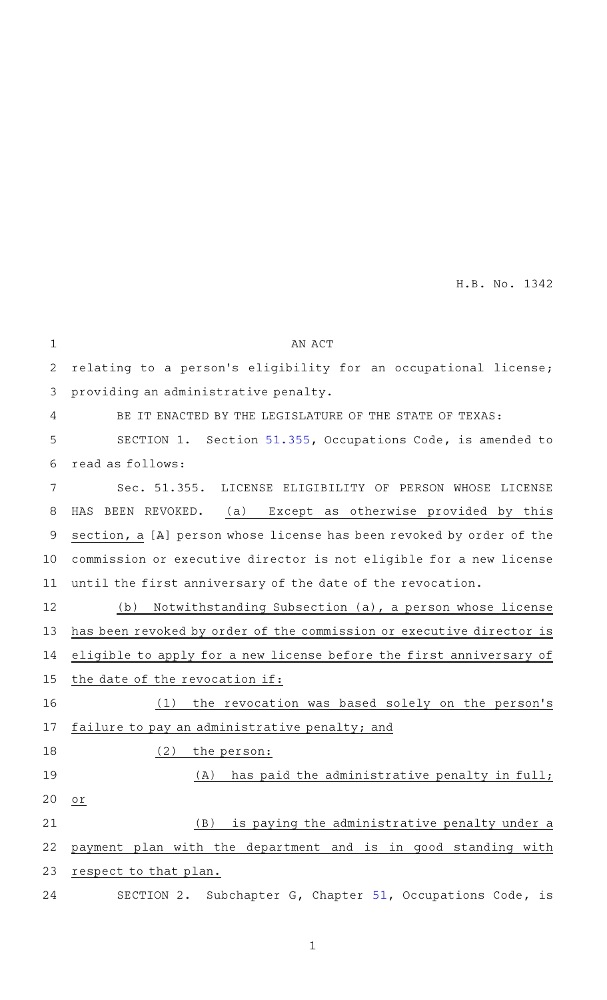| $\mathbf 1$ | AN ACT                                                                 |
|-------------|------------------------------------------------------------------------|
| 2           | relating to a person's eligibility for an occupational license;        |
| 3           | providing an administrative penalty.                                   |
| 4           | BE IT ENACTED BY THE LEGISLATURE OF THE STATE OF TEXAS:                |
| 5           | SECTION 1. Section 51.355, Occupations Code, is amended to             |
| 6           | read as follows:                                                       |
| 7           | Sec. 51.355. LICENSE ELIGIBILITY OF PERSON WHOSE LICENSE               |
| 8           | (a) Except as otherwise provided by this<br>HAS BEEN REVOKED.          |
| 9           | section, a $[A]$ person whose license has been revoked by order of the |
| 10          | commission or executive director is not eligible for a new license     |
| 11          | until the first anniversary of the date of the revocation.             |
| 12          | Notwithstanding Subsection (a), a person whose license<br>(b)          |
| 13          | has been revoked by order of the commission or executive director is   |
| 14          | eligible to apply for a new license before the first anniversary of    |
| 15          | the date of the revocation if:                                         |
| 16          | the revocation was based solely on the person's<br>(1)                 |
| 17          | failure to pay an administrative penalty; and                          |
| 18          | (2)<br>the person:                                                     |
| 19          | has paid the administrative penalty in full;<br>(A)                    |
| 20          | Оľ                                                                     |
| 21          | is paying the administrative penalty under a<br>(B)                    |
| 22          | payment plan with the department and is in good standing with          |
| 23          | respect to that plan.                                                  |
| 24          | SECTION 2. Subchapter G, Chapter 51, Occupations Code, is              |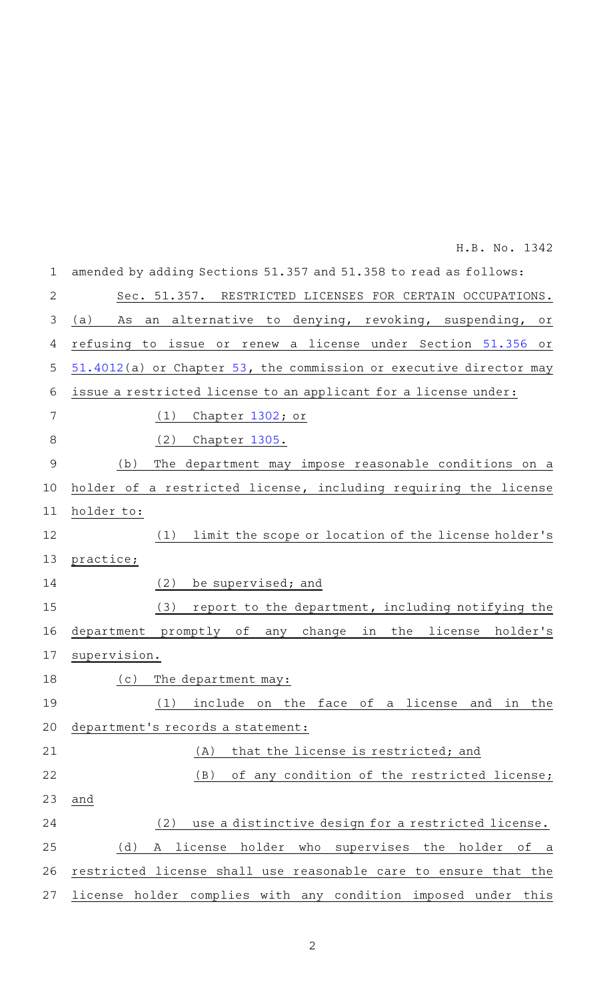| $\mathbf 1$    | amended by adding Sections 51.357 and 51.358 to read as follows:               |
|----------------|--------------------------------------------------------------------------------|
| 2              | Sec. 51.357. RESTRICTED LICENSES FOR CERTAIN OCCUPATIONS.                      |
| 3              | denying, revoking, suspending,<br>(a)<br>alternative<br>As<br>to<br>an<br>Оľ   |
| 4              | refusing<br>renew a license under Section 51.356<br>issue<br>to<br>or<br>Оľ    |
| 5              | 51.4012(a) or Chapter 53, the commission or executive director may             |
| 6              | issue a restricted license to an applicant for a license under:                |
| 7              | (1)<br>Chapter 1302; or                                                        |
| 8              | (2)<br>Chapter 1305.                                                           |
| $\overline{9}$ | (b)<br>The department may impose reasonable conditions on a                    |
| 10             | holder of a restricted license, including requiring the license                |
| 11             | holder to:                                                                     |
| 12             | limit the scope or location of the license holder's<br>(1)                     |
| 13             | practice;                                                                      |
| 14             | (2)<br>be supervised; and                                                      |
| 15             | (3)<br>report to the department, including notifying the                       |
| 16             | promptly of<br>in<br>the<br>license<br>holder's<br>department<br>change<br>any |
| 17             | supervision.                                                                   |
| 18             | (c)<br>The department may:                                                     |
| 19             | (1) include on the face of a license and in the                                |
| 20             | department's records a statement:                                              |
| 21             | that the license is restricted; and<br>(A)                                     |
| 22             | (B)<br>of any condition of the restricted license;                             |
| 23             | and                                                                            |
| 24             | use a distinctive design for a restricted license.<br>(2)                      |
| 25             | (d)<br>license<br>holder<br>who supervises<br>the holder<br>оf<br>A<br>a       |
| 26             | restricted license shall use reasonable care to ensure that the                |
| 27             | license holder complies with any condition imposed under this                  |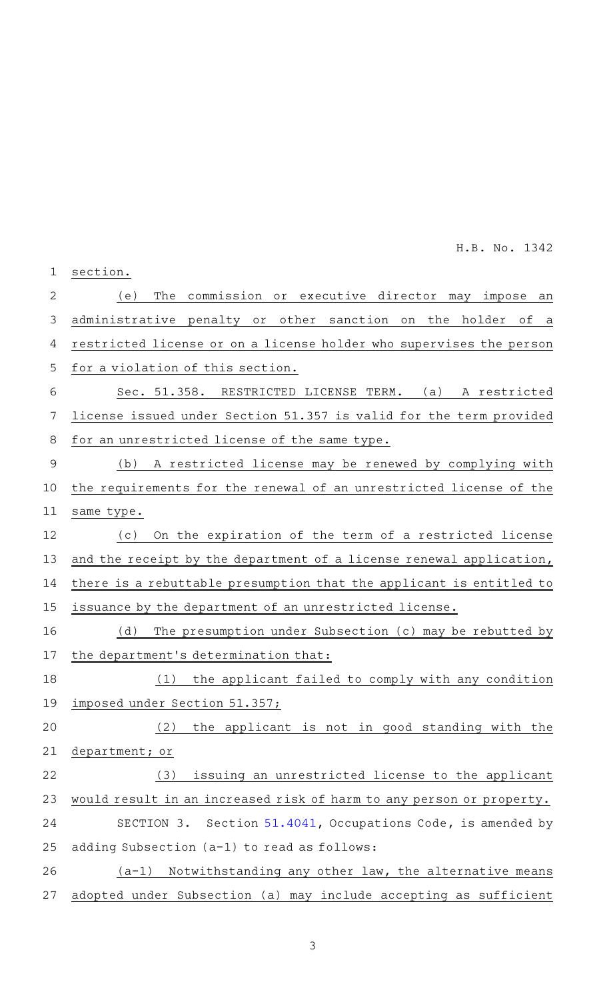| 1              | section.                                                                      |
|----------------|-------------------------------------------------------------------------------|
| 2              | commission or executive director may<br>The<br>(e)<br>impose<br>an            |
| 3              | administrative penalty or<br>other sanction<br>the<br>holder<br>on<br>οf<br>a |
| 4              | restricted license or on a license holder who supervises the person           |
| 5              | for a violation of this section.                                              |
| 6              | Sec. 51.358.<br>RESTRICTED LICENSE TERM.<br>(a)<br>A restricted               |
| 7              | license issued under Section 51.357 is valid for the term provided            |
| 8              | for an unrestricted license of the same type.                                 |
| $\overline{9}$ | A restricted license may be renewed by complying with<br>(b)                  |
| 10             | the requirements for the renewal of an unrestricted license of the            |
| 11             | same type.                                                                    |
| 12             | On the expiration of the term of a restricted license<br>(c)                  |
| 13             | and the receipt by the department of a license renewal application,           |
| 14             | there is a rebuttable presumption that the applicant is entitled to           |
| 15             | issuance by the department of an unrestricted license.                        |
| 16             | (d)<br>The presumption under Subsection (c) may be rebutted by                |
| 17             | the department's determination that:                                          |
| 18             | (1)<br>the applicant failed to comply with any condition                      |
| 19             | imposed under Section 51.357;                                                 |
| 20             | the applicant is not in good standing with the<br>(2)                         |
| 21             | department; or                                                                |
| 22             | issuing an unrestricted license to the applicant<br>(3)                       |
| 23             | would result in an increased risk of harm to any person or property.          |
| 24             | SECTION 3. Section 51.4041, Occupations Code, is amended by                   |
| 25             | adding Subsection (a-1) to read as follows:                                   |
| 26             | Notwithstanding any other law, the alternative means<br>(a-1)                 |
| 27             | adopted under Subsection (a) may include accepting as sufficient              |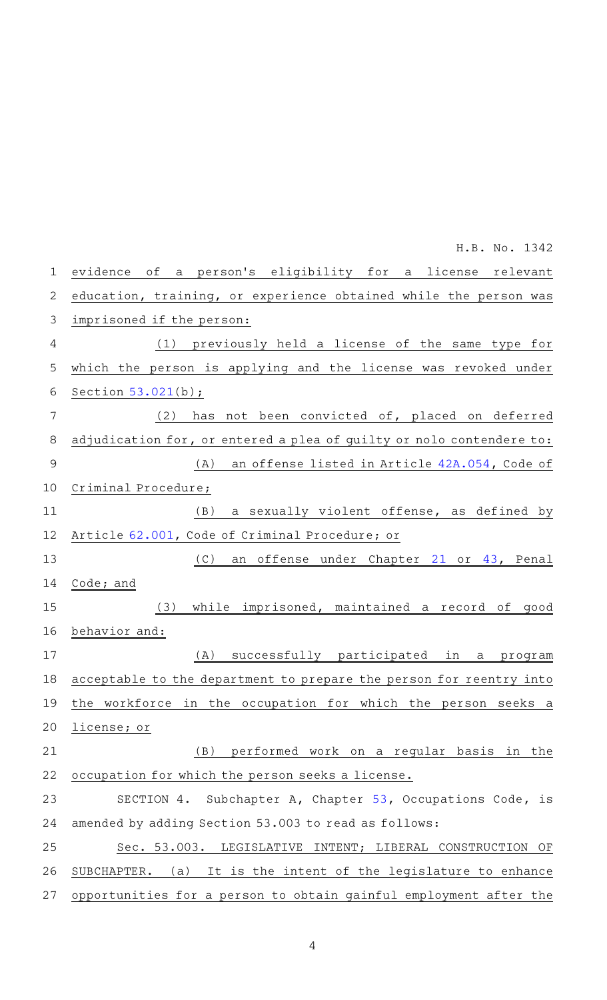| $\mathbf 1$    | evidence of a person's eligibility for a license relevant            |
|----------------|----------------------------------------------------------------------|
| $\overline{2}$ | education, training, or experience obtained while the person was     |
| 3              | imprisoned if the person:                                            |
| 4              | (1) previously held a license of the same type for                   |
| 5              | which the person is applying and the license was revoked under       |
| 6              | Section $53.021(b)$ ;                                                |
| 7              | not been convicted of, placed on deferred<br>(2)<br>has              |
| 8              | adjudication for, or entered a plea of guilty or nolo contendere to: |
| 9              | an offense listed in Article 42A.054, Code of<br>(A)                 |
| 10             | Criminal Procedure;                                                  |
| 11             | a sexually violent offense, as defined by<br>(B)                     |
| 12             | Article 62.001, Code of Criminal Procedure; or                       |
| 13             | (C)<br>an offense under Chapter 21 or 43, Penal                      |
| 14             | Code; and                                                            |
| 15             | while imprisoned, maintained a record of good<br>(3)                 |
| 16             | behavior and:                                                        |
| 17             | successfully participated in<br>(A)<br>a<br>program                  |
| 18             | acceptable to the department to prepare the person for reentry into  |
| 19             | the workforce in the occupation for which the person seeks a         |
| 20             | license; or                                                          |
| 21             | performed work on a regular basis in the<br>(B)                      |
| 22             | occupation for which the person seeks a license.                     |
| 23             | Subchapter A, Chapter 53, Occupations Code, is<br>SECTION 4.         |
| 24             | amended by adding Section 53.003 to read as follows:                 |
| 25             | Sec. 53.003. LEGISLATIVE<br>INTENT; LIBERAL CONSTRUCTION OF          |
| 26             | It is the intent of the legislature to enhance<br>SUBCHAPTER.<br>(a) |
| 27             | opportunities for a person to obtain gainful employment after the    |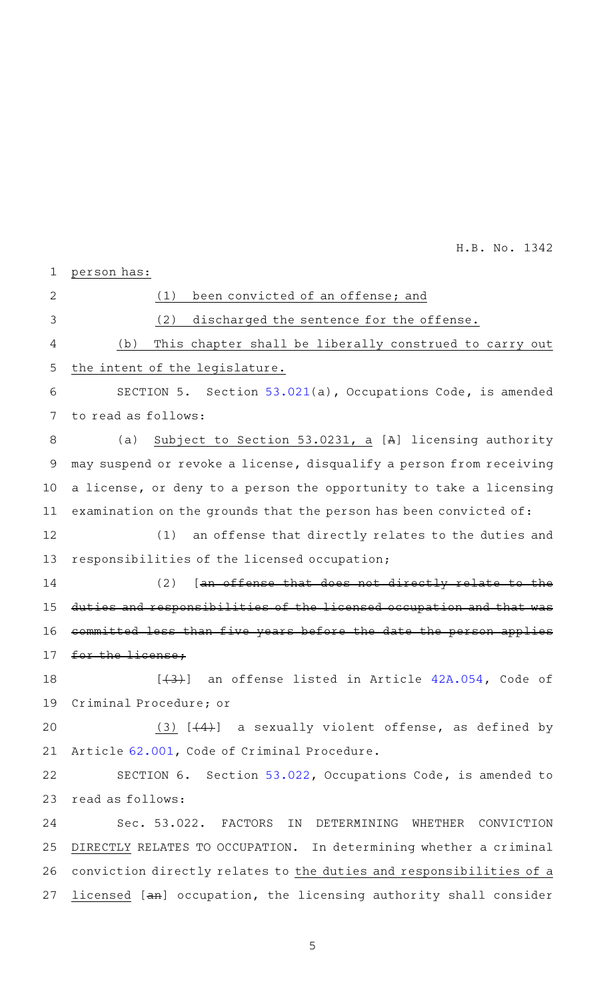person has:  $(1)$  been convicted of an offense; and (2) discharged the sentence for the offense. (b) This chapter shall be liberally construed to carry out the intent of the legislature. SECTION 5. Section [53.021\(](http://www.statutes.legis.state.tx.us/GetStatute.aspx?Code=OC&Value=53.021&Date=5/23/2019)a), Occupations Code, is amended to read as follows: (a) Subject to Section 53.0231, a [A] licensing authority may suspend or revoke a license, disqualify a person from receiving a license, or deny to a person the opportunity to take a licensing examination on the grounds that the person has been convicted of: (1) an offense that directly relates to the duties and responsibilities of the licensed occupation;  $(2)$  [an offense that does not directly relate to duties and responsibilities of the licensed occupation and that committed less than five years before the date the person applies for the license, [(3)] an offense listed in Article [42A.054,](http://www.statutes.legis.state.tx.us/GetStatute.aspx?Code=CR&Value=42A.054&Date=5/23/2019) Code of Criminal Procedure; or (3)  $[44]$  a sexually violent offense, as defined by Article [62.001](http://www.statutes.legis.state.tx.us/GetStatute.aspx?Code=CR&Value=62.001&Date=5/23/2019), Code of Criminal Procedure. SECTION 6. Section [53.022,](http://www.statutes.legis.state.tx.us/GetStatute.aspx?Code=OC&Value=53.022&Date=5/23/2019) Occupations Code, is amended to read as follows: Sec. 53.022. FACTORS IN DETERMINING WHETHER CONVICTION DIRECTLY RELATES TO OCCUPATION. In determining whether a criminal conviction directly relates to the duties and responsibilities of a licensed [an] occupation, the licensing authority shall consider 1 2 3 4 5 6 7 8 9 10 11 12 13 14 15 16 17 18 19 20 21 22 23 24 25 26 27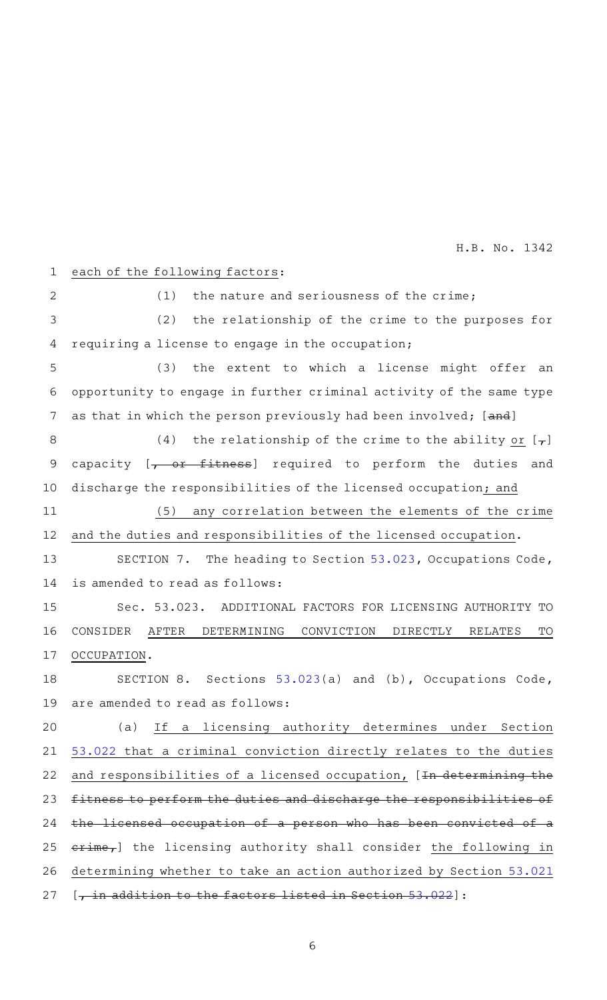## each of the following factors: 1

 $(1)$  the nature and seriousness of the crime;  $(2)$  the relationship of the crime to the purposes for requiring a license to engage in the occupation; (3) the extent to which a license might offer an opportunity to engage in further criminal activity of the same type as that in which the person previously had been involved; [and] (4) the relationship of the crime to the ability or  $[-,]$ capacity [<del>, or fitness</del>] required to perform the duties and discharge the responsibilities of the licensed occupation; and (5) any correlation between the elements of the crime and the duties and responsibilities of the licensed occupation. SECTION 7. The heading to Section [53.023,](http://www.statutes.legis.state.tx.us/GetStatute.aspx?Code=OC&Value=53.023&Date=5/23/2019) Occupations Code, is amended to read as follows: Sec. 53.023. ADDITIONAL FACTORS FOR LICENSING AUTHORITY TO CONSIDER AFTER DETERMINING CONVICTION DIRECTLY RELATES TO OCCUPATION. SECTION 8. Sections  $53.023(a)$  $53.023(a)$  and (b), Occupations Code, are amended to read as follows: (a) If a licensing authority determines under Section [53.022](http://www.statutes.legis.state.tx.us/GetStatute.aspx?Code=OC&Value=53.022&Date=5/23/2019) that a criminal conviction directly relates to the duties and responsibilities of a licensed occupation, [In determining the fitness to perform the duties and discharge the responsibilities of the licensed occupation of a person who has been convicted of a crime,] the licensing authority shall consider the following in determining whether to take an action authorized by Section [53.021](http://www.statutes.legis.state.tx.us/GetStatute.aspx?Code=OC&Value=53.021&Date=5/23/2019) 2 3 4 5 6 7 8 9 10 11 12 13 14 15 16 17 18 19 20 21 22 23 24 25 26

[, in addition to the factors listed in Section [53.022\]](http://www.statutes.legis.state.tx.us/GetStatute.aspx?Code=OC&Value=53.022&Date=5/23/2019): 27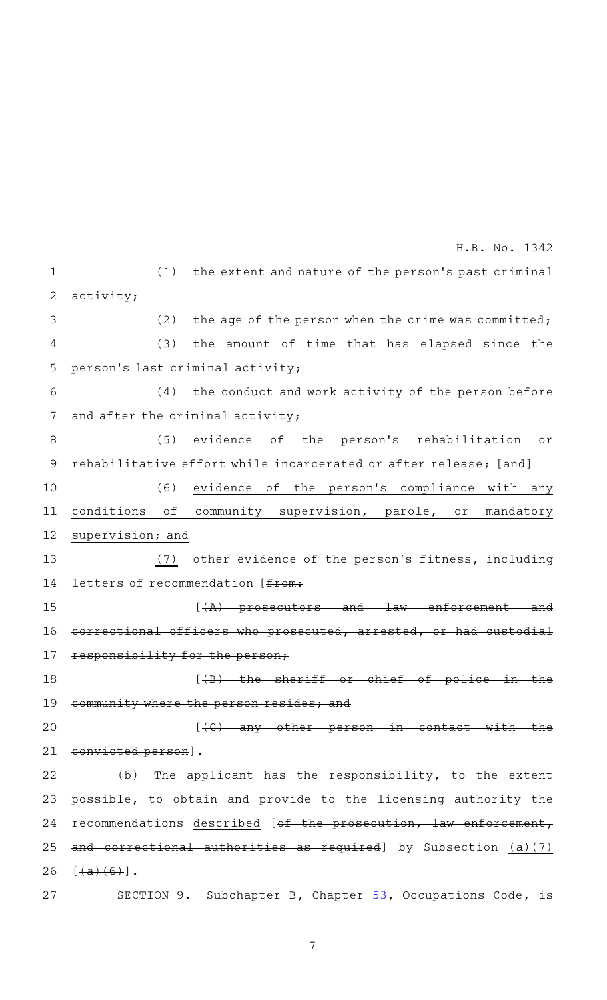$(1)$  the extent and nature of the person's past criminal activity; (2) the age of the person when the crime was committed; (3) the amount of time that has elapsed since the person 's last criminal activity;  $(4)$  the conduct and work activity of the person before and after the criminal activity; (5) evidence of the person's rehabilitation or rehabilitative effort while incarcerated or after release; [and] (6) evidence of the person's compliance with any conditions of community supervision, parole, or mandatory supervision; and (7) other evidence of the person's fitness, including letters of recommendation [ $f$ <sub>rom</sub>:  $[ +A )$  prosecutors and law enforcement and correctional officers who prosecuted, arrested, or had custodial sponsibility for the person;  $[4B)$  the sheriff or chief of police in the community where the person resides; and  $[$  ( $C$ ) any other person in contact convicted person]. (b) The applicant has the responsibility, to the extent possible, to obtain and provide to the licensing authority the recommendations described [of the prosecution, law enforcement, and correctional authorities as required] by Subsection (a)(7)  $[+a)+(6)]$ . SECTION 9. Subchapter B, Chapter [53,](http://www.statutes.legis.state.tx.us/GetStatute.aspx?Code=OC&Value=53&Date=5/23/2019) Occupations Code, is 1 2 3 4 5 6 7 8 9 10 11 12 13 14 15 16 17 18 19 20 21 22 23 24 25 26 27 H.B. No. 1342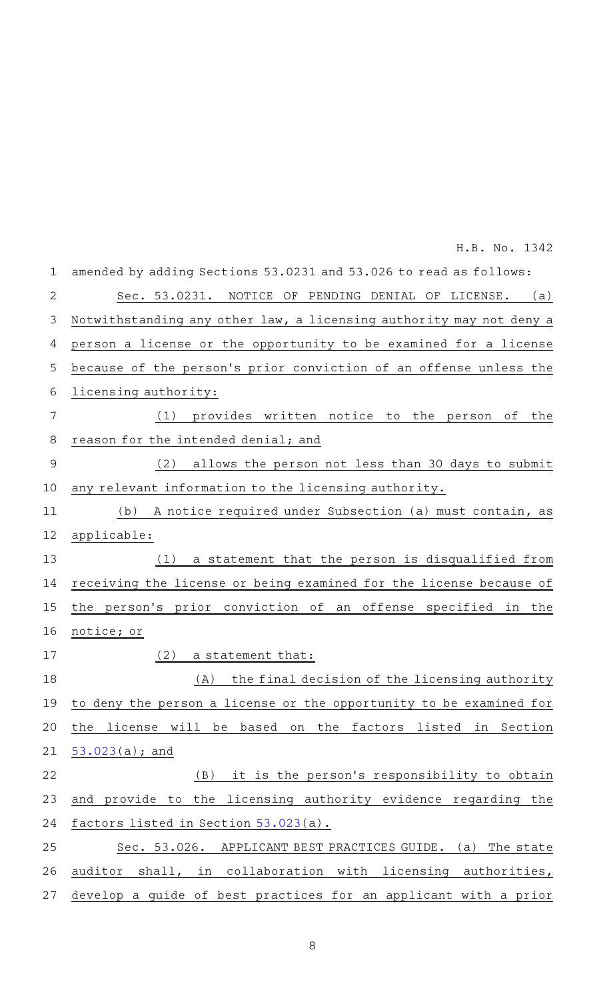| $\mathbf 1$    | amended by adding Sections 53.0231 and 53.026 to read as follows:     |
|----------------|-----------------------------------------------------------------------|
| $\overline{2}$ | NOTICE OF PENDING DENIAL OF LICENSE. (a)<br>Sec. 53.0231.             |
| 3              | Notwithstanding any other law, a licensing authority may not deny a   |
| 4              | person a license or the opportunity to be examined for a license      |
| 5              | because of the person's prior conviction of an offense unless the     |
| 6              | licensing authority:                                                  |
| 7              | (1)<br>provides written notice to the person of the                   |
| 8              | reason for the intended denial; and                                   |
| $\overline{9}$ | allows the person not less than 30 days to submit<br>(2)              |
| 10             | any relevant information to the licensing authority.                  |
| 11             | A notice required under Subsection (a) must contain, as<br>(b)        |
| 12             | applicable:                                                           |
| 13             | a statement that the person is disqualified from<br>(1)               |
| 14             | receiving the license or being examined for the license because of    |
| 15             | the person's prior conviction of an offense specified in the          |
| 16             | notice; or                                                            |
| 17             | (2)<br>a statement that:                                              |
| 18             | the final decision of the licensing authority<br>(A)                  |
|                | 19 to deny the person a license or the opportunity to be examined for |
| 20             | the license will be based on the factors listed in Section            |
| 21             | $53.023(a);$ and                                                      |
| 22             | (B) it is the person's responsibility to obtain                       |
| 23             | and provide to the licensing authority evidence regarding the         |
| 24             | factors listed in Section 53.023(a).                                  |
| 25             | Sec. 53.026. APPLICANT BEST PRACTICES GUIDE. (a) The state            |
| 26             | auditor shall, in collaboration with licensing authorities,           |
| 27             | develop a guide of best practices for an applicant with a prior       |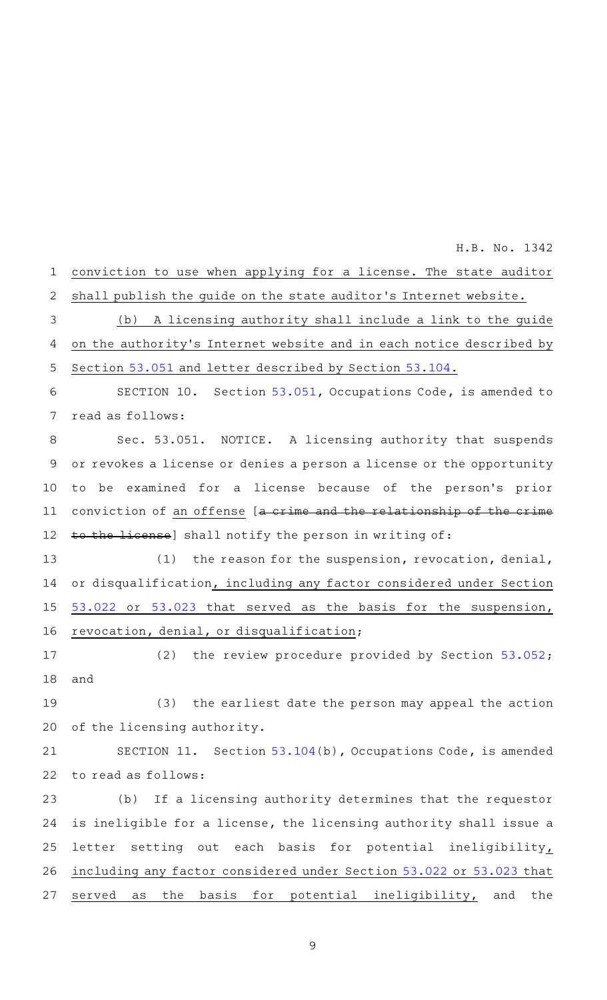conviction to use when applying for a license. The state auditor shall publish the guide on the state auditor 's Internet website. (b) A licensing authority shall include a link to the guide on the authority 's Internet website and in each notice described by Section [53.051](http://www.statutes.legis.state.tx.us/GetStatute.aspx?Code=OC&Value=53.051&Date=5/23/2019) and letter described by Section [53.104](http://www.statutes.legis.state.tx.us/GetStatute.aspx?Code=OC&Value=53.104&Date=5/23/2019). SECTION 10. Section [53.051](http://www.statutes.legis.state.tx.us/GetStatute.aspx?Code=OC&Value=53.051&Date=5/23/2019), Occupations Code, is amended to read as follows: Sec. 53.051. NOTICE. A licensing authority that suspends or revokes a license or denies a person a license or the opportunity to be examined for a license because of the person's prior conviction of an offense [a crime and the relationship of the crime 1 2 3 4 5 6 7 8 9 10 11

H.B. No. 1342

to the license] shall notify the person in writing of: 12

 $(1)$  the reason for the suspension, revocation, denial, or disqualification, including any factor considered under Section [53.022](http://www.statutes.legis.state.tx.us/GetStatute.aspx?Code=OC&Value=53.022&Date=5/23/2019) or [53.023](http://www.statutes.legis.state.tx.us/GetStatute.aspx?Code=OC&Value=53.023&Date=5/23/2019) that served as the basis for the suspension, revocation, denial, or disqualification; 13 14 15 16

(2) the review procedure provided by Section  $53.052$ ; and 17 18

(3) the earliest date the person may appeal the action of the licensing authority. 19 20

SECTION 11. Section [53.104\(](http://www.statutes.legis.state.tx.us/GetStatute.aspx?Code=OC&Value=53.104&Date=5/23/2019)b), Occupations Code, is amended to read as follows: 21 22

(b) If a licensing authority determines that the requestor is ineligible for a license, the licensing authority shall issue a letter setting out each basis for potential ineligibility, including any factor considered under Section [53.022](http://www.statutes.legis.state.tx.us/GetStatute.aspx?Code=OC&Value=53.022&Date=5/23/2019) or [53.023](http://www.statutes.legis.state.tx.us/GetStatute.aspx?Code=OC&Value=53.023&Date=5/23/2019) that served as the basis for potential ineligibility, and the 23 24 25 26 27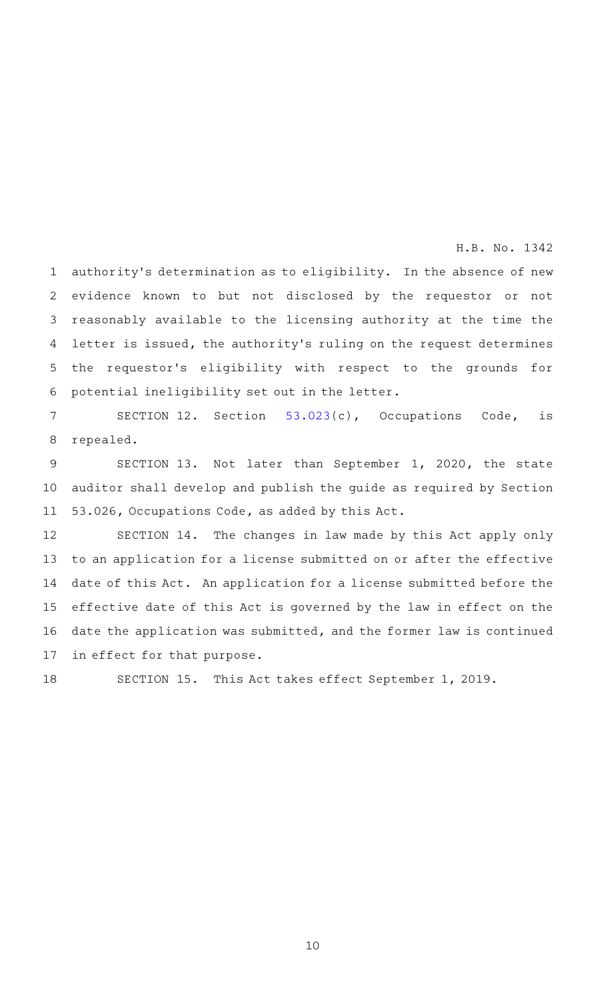authority's determination as to eligibility. In the absence of new evidence known to but not disclosed by the requestor or not reasonably available to the licensing authority at the time the letter is issued, the authority's ruling on the request determines the requestor 's eligibility with respect to the grounds for potential ineligibility set out in the letter. 1 2 3 4 5 6

SECTION 12. Section [53.023](http://www.statutes.legis.state.tx.us/GetStatute.aspx?Code=OC&Value=53.023&Date=5/23/2019)(c), Occupations Code, is repealed. 7 8

SECTION 13. Not later than September 1, 2020, the state auditor shall develop and publish the guide as required by Section 53.026, Occupations Code, as added by this Act. 9 10 11

SECTION 14. The changes in law made by this Act apply only to an application for a license submitted on or after the effective date of this Act. An application for a license submitted before the effective date of this Act is governed by the law in effect on the date the application was submitted, and the former law is continued in effect for that purpose. 12 13 14 15 16 17

18

SECTION 15. This Act takes effect September 1, 2019.